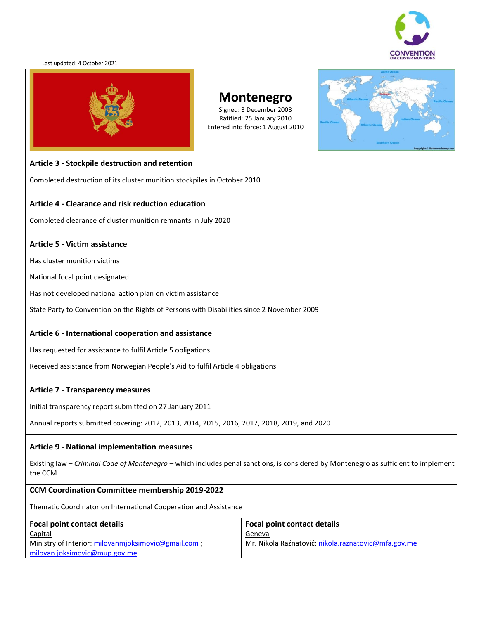

#### Last updated: 4 October 2021



# **Montenegro**

Signed: 3 December 2008 Ratified: 25 January 2010 Entered into force: 1 August 2010

#### **Article 3 - Stockpile destruction and retention**

Completed destruction of its cluster munition stockpiles in October 2010

#### **Article 4 - Clearance and risk reduction education**

Completed clearance of cluster munition remnants in July 2020

#### **Article 5 - Victim assistance**

Has cluster munition victims

National focal point designated

Has not developed national action plan on victim assistance

State Party to Convention on the Rights of Persons with Disabilities since 2 November 2009

#### **Article 6 - International cooperation and assistance**

Has requested for assistance to fulfil Article 5 obligations

Received assistance from Norwegian People's Aid to fulfil Article 4 obligations

#### **Article 7 - Transparency measures**

Initial transparency report submitted on 27 January 2011

Annual reports submitted covering: 2012, 2013, 2014, 2015, 2016, 2017, 2018, 2019, and 2020

#### **Article 9 - National implementation measures**

Existing law – *Criminal Code of Montenegro* – which includes penal sanctions, is considered by Montenegro as sufficient to implement the CCM

#### **CCM Coordination Committee membership 2019-2022**

Thematic Coordinator on International Cooperation and Assistance

| Focal point contact details                        | <b>Focal point contact details</b>                  |
|----------------------------------------------------|-----------------------------------------------------|
| <b>Capital</b>                                     | Geneva                                              |
| Ministry of Interior: milovanmioksimovic@gmail.com | Mr. Nikola Ražnatović: nikola.raznatovic@mfa.gov.me |
| milovan.joksimovic@mup.gov.me                      |                                                     |

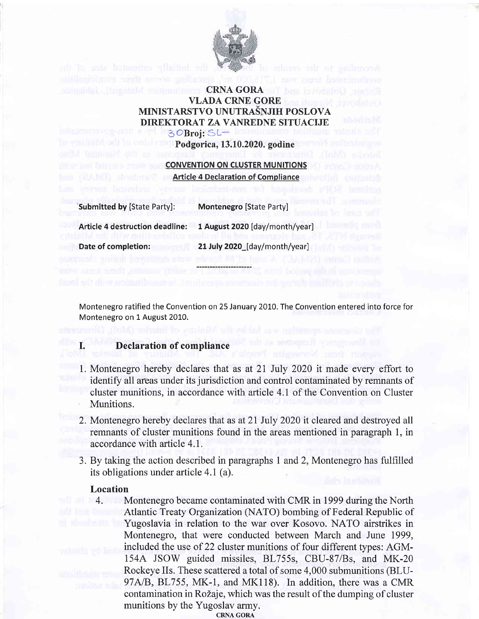

## **CRNA GORA** VLADA CRNE GORE MINISTARSTVO UNUTRAŠNJIH POSLOVA DIREKTORAT ZA VANREDNE SITUACIJE  $3$ OBroj:  $SL-$

Podgorica, 13.10.2020. godine

**CONVENTION ON CLUSTER MUNITIONS Article 4 Declaration of Compliance** 

'submitted by [State Party]: Montenegro [State Party]

Article 4 destruction deadline: 1 August 2020 [day/month/year]

I

Date of completion: 21 July 2020 [day/month/year]

Montenegro ratified the Convention on 25 January 2010. The Convention entered into force for Montenegro on 1 August 2010.

## Declaration of compliance

- 1. Montenegro hereby declares that as at 21 July 2020 it made every effort to identify all areas under its jurisdiction and control contaminated by remnants of cluster munitions, in accordance with article 4.1 of the Convention on Cluster Munitions.
- 2. Montenegro hereby declares that as at 21 July 2020 it cleared and destroyed all remnants of cluster munitions found in the areas mentioned in paragraph 1, in accordance with article 4.1.
- 3. By taking the action described in paragraphs 1 and 2, Montenegro has fulfilled its obligations under article 4.1 (a).

#### Location

4. Montenegro became contaminated with CMR in 1999 during the North Atlantic Treaty Organization (NATO) bombing of Federal Republic of Yugoslavia in relation to the war over Kosovo. NATO airstrikes in Montenegro, that were conducted between March and June 1999, included the use of 22 cluster munitions of four different types: AGMl54A JSOW guided missiles, BL755s, CBU-87/Bs, and MK-20 Rockeye IIs. These scattered atotal of some 4,000 submunitions (BLU-97A/B, BL755, MK-1, and MK118). In addition, there was a CMR contamination in Rožaje, which was the result of the dumping of cluster munitions by the Yugoslav army.

CRNA GORA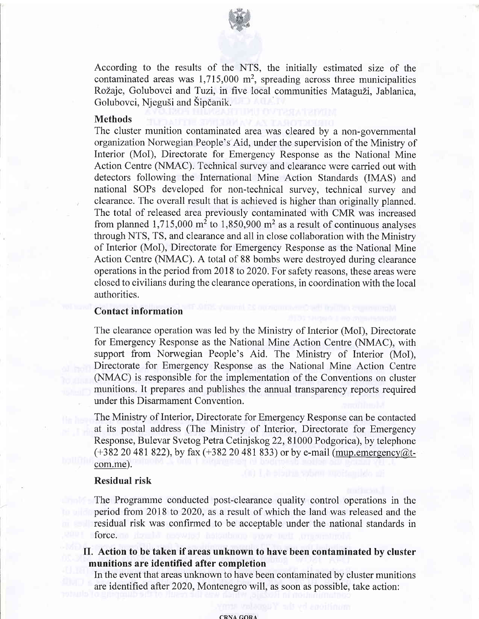

According to the results of the NTS, the initially estimated size of the contaminated areas was  $1,715,000$  m<sup>2</sup>, spreading across three municipalities Rožaje, Golubovci and Tuzi, in five local communities Mataguži, Jablanica, Golubovci, Njeguši and Šipčanik.

#### Methods

The cluster munition contaminated area was cleared by a non-governmental organization Norwegian People's Aid, under the supervision of the Ministry of Interior (MoI), Directorate for Emergency Response as the National Mine Action Centre (NMAC). Technical survey and clearance were carried out with detectors following the International Mine Action Standards (IMAS) and national SOPs developed for non-technical survey, technical survey and clearance. The overall result that is achieved is higher than originally planned. The total of released area previously contaminated with CMR was increased from planned 1,715,000 m<sup>2</sup> to 1,850,900 m<sup>2</sup> as a result of continuous analyses through NTS, TS, and clearance and all in close collaboration with the Ministry of Interior (MoI), Directorate for Emergency Response as the National Mine Action Centre (NMAC). A total of 88 bombs were destroyed during clearance operations in the period from 2018 to 2020. For safety reasons, these areas were closed to civilians during the clearance operations, in coordination with the local authorities.

### Contact information

The clearance operation was led by the Ministry of Interior (MoI), Directorate for Emergency Response as the National Mine Action Centre (NMAC), with support from Norwegian People's Aid. The Ministry of Interior (MoI), Directorate for Emergency Response as the National Mine Action Centre (NMAC) is responsible for the implementation of the Conventions on cluster munitions. It prepares and publishes the annual transparency reports required under this Disarmament Convention.

The Ministry of Interior, Directorate for Emergency Response can be contacted at its postal address (The Ministry of Interior, Directorate for Emergency Response, Bulevar Svetog Petra Cetinjskog 22,81000 Podgorica), by telephone  $(+382 20 481 822)$ , by fax  $(+382 20 481 833)$  or by e-mail (mup.emergency@tcom.me).

#### Residual risk

The Programme conducted post-clearance quality control operations in the period from 2018 to 2020, as a result of which the land was released and the residual risk was confirmed to be acceptable under the national standards in force.

## II. Action to be taken if areas unknown to have been contaminated by cluster munitions are identified after completion

In the event that areas unknown to have been contaminated by cluster munitions are identified after 2020, Montenegro will, as soon as possible, take action: